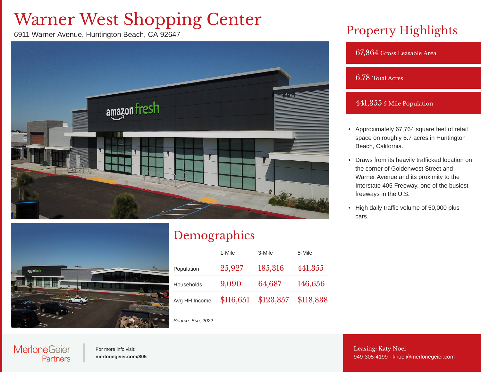# Warner West Shopping Center

6911 Warner Avenue, Huntington Beach, CA 92647



### Property Highlights

67,864 Gross Leasable Area

#### 6.78 Total Acres

#### 441,355 5 Mile Population

- Approximately 67,764 square feet of retail space on roughly 6.7 acres in Huntington Beach, California.
- Draws from its heavily trafficked location on the corner of Goldenwest Street and Warner Avenue and its proximity to the Interstate 405 Freeway, one of the busiest freeways in the U.S.
- High daily traffic volume of 50,000 plus cars.



## Demographics

|               | 1-Mile | 3-Mile                        | 5-Mile  |  |
|---------------|--------|-------------------------------|---------|--|
| Population    | 25,927 | 185,316                       | 441,355 |  |
| Households    | 9,090  | 64,687                        | 146,656 |  |
| Avg HH Income |        | \$116,651 \$123,357 \$118,838 |         |  |

*Source: Esri, 2022*

### **MerloneGeier** Partners

For more info visit: **[merlonegeier.com/805](http://merlonegeier.com/805)** Leasing: Katy Noel [949-305-4199](tel:949-305-4199)- [knoel@merlonegeier.com](mailto:knoel@merlonegeier.com)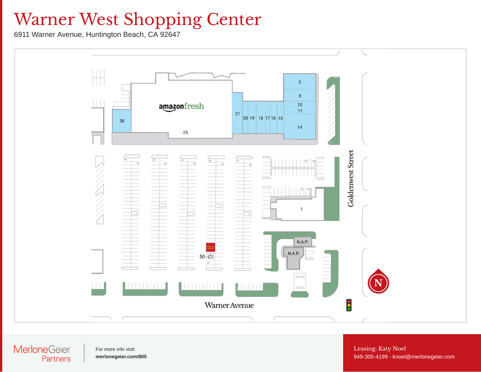# Warner West Shopping Center

6911 Warner Avenue, Huntington Beach, CA 92647



#### **MerloneGeier** Partners

For more info visit: **[merlonegeier.com/805](http://merlonegeier.com/805)** Leasing: Katy Noel [949-305-4199](tel:949-305-4199)- [knoel@merlonegeier.com](mailto:knoel@merlonegeier.com)